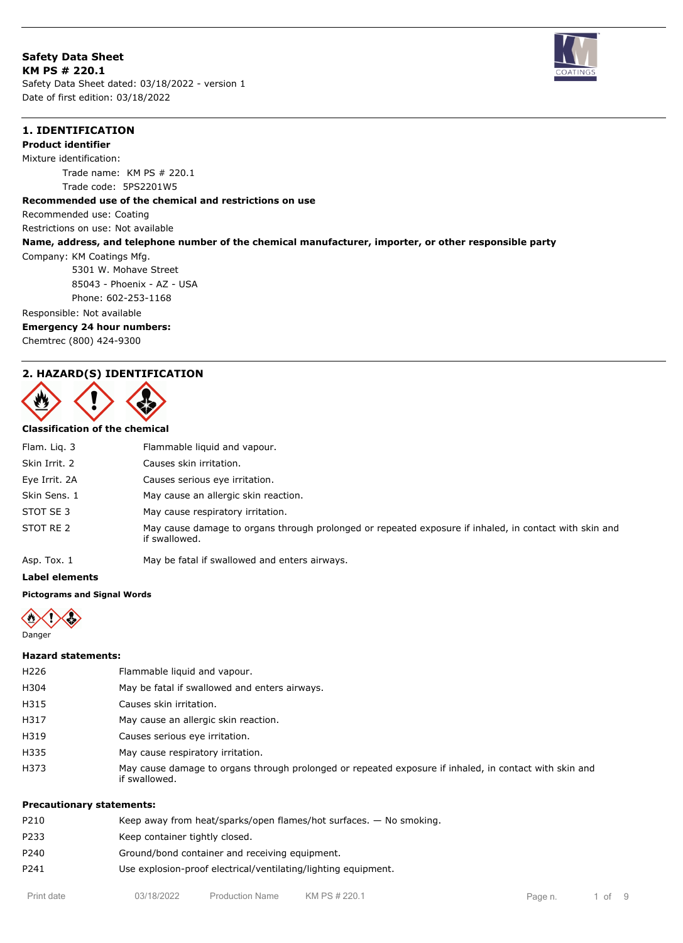**Safety Data Sheet KM PS # 220.1** Safety Data Sheet dated: 03/18/2022 - version 1 Date of first edition: 03/18/2022



### **1. IDENTIFICATION**

**Product identifier**

Mixture identification:

Trade name: KM PS # 220.1 Trade code: 5PS2201W5

#### **Recommended use of the chemical and restrictions on use**

Recommended use: Coating

Restrictions on use: Not available

### **Name, address, and telephone number of the chemical manufacturer, importer, or other responsible party**

Company: KM Coatings Mfg. 5301 W. Mohave Street 85043 - Phoenix - AZ - USA

Phone: 602-253-1168

Responsible: Not available

### **Emergency 24 hour numbers:**

Chemtrec (800) 424-9300

### **2. HAZARD(S) IDENTIFICATION**



#### **Classification of the chemical**

| Flam. Lig. 3  | Flammable liquid and vapour.                                                                                            |
|---------------|-------------------------------------------------------------------------------------------------------------------------|
| Skin Irrit. 2 | Causes skin irritation.                                                                                                 |
| Eye Irrit. 2A | Causes serious eye irritation.                                                                                          |
| Skin Sens. 1  | May cause an allergic skin reaction.                                                                                    |
| STOT SE 3     | May cause respiratory irritation.                                                                                       |
| STOT RE 2     | May cause damage to organs through prolonged or repeated exposure if inhaled, in contact with skin and<br>if swallowed. |
| Asp. Tox. 1   | May be fatal if swallowed and enters airways.                                                                           |

**Label elements**

### **Pictograms and Signal Words**



### **Hazard statements:**

| <b>Precautionary statements:</b> |                                                                                                                         |
|----------------------------------|-------------------------------------------------------------------------------------------------------------------------|
| H373                             | May cause damage to organs through prolonged or repeated exposure if inhaled, in contact with skin and<br>if swallowed. |
| H335                             | May cause respiratory irritation.                                                                                       |
| H319                             | Causes serious eye irritation.                                                                                          |
| H317                             | May cause an allergic skin reaction.                                                                                    |
| H315                             | Causes skin irritation.                                                                                                 |
| H304                             | May be fatal if swallowed and enters airways.                                                                           |
| H <sub>226</sub>                 | Flammable liquid and vapour.                                                                                            |
|                                  |                                                                                                                         |

# P210 Keep away from heat/sparks/open flames/hot surfaces. — No smoking. P233 Keep container tightly closed. P240 Ground/bond container and receiving equipment. P241 Use explosion-proof electrical/ventilating/lighting equipment.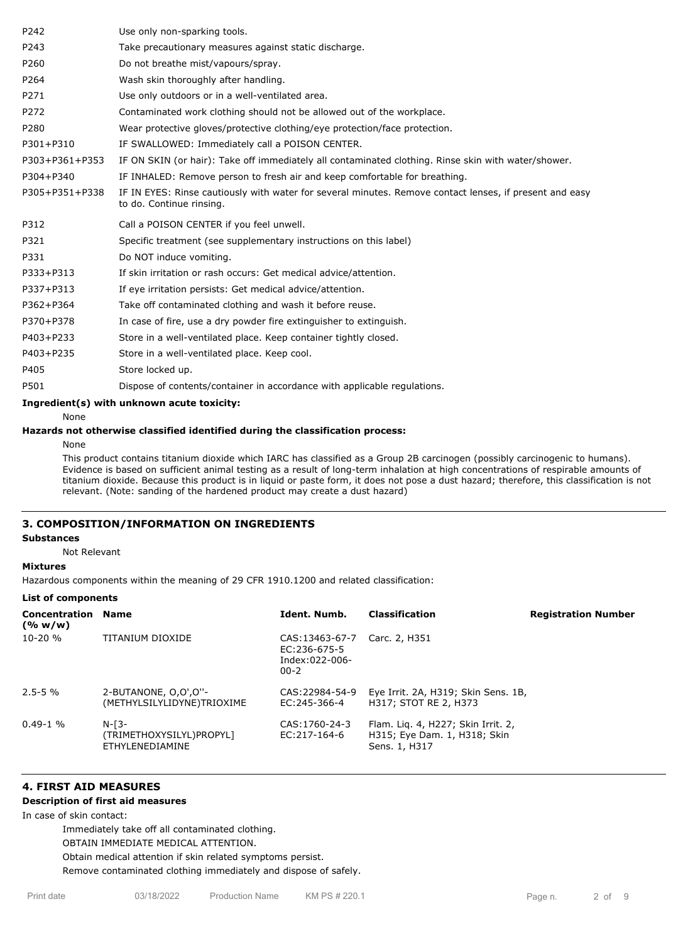| P242                                       | Use only non-sparking tools.                                                                                                        |  |  |  |  |
|--------------------------------------------|-------------------------------------------------------------------------------------------------------------------------------------|--|--|--|--|
| P243                                       | Take precautionary measures against static discharge.                                                                               |  |  |  |  |
| P260                                       | Do not breathe mist/vapours/spray.                                                                                                  |  |  |  |  |
| P264                                       | Wash skin thoroughly after handling.                                                                                                |  |  |  |  |
| P271                                       | Use only outdoors or in a well-ventilated area.                                                                                     |  |  |  |  |
| P272                                       | Contaminated work clothing should not be allowed out of the workplace.                                                              |  |  |  |  |
| P280                                       | Wear protective gloves/protective clothing/eye protection/face protection.                                                          |  |  |  |  |
| P301+P310                                  | IF SWALLOWED: Immediately call a POISON CENTER.                                                                                     |  |  |  |  |
| P303+P361+P353                             | IF ON SKIN (or hair): Take off immediately all contaminated clothing. Rinse skin with water/shower.                                 |  |  |  |  |
| P304+P340                                  | IF INHALED: Remove person to fresh air and keep comfortable for breathing.                                                          |  |  |  |  |
| P305+P351+P338                             | IF IN EYES: Rinse cautiously with water for several minutes. Remove contact lenses, if present and easy<br>to do. Continue rinsing. |  |  |  |  |
| P312                                       | Call a POISON CENTER if you feel unwell.                                                                                            |  |  |  |  |
| P321                                       | Specific treatment (see supplementary instructions on this label)                                                                   |  |  |  |  |
| P331                                       | Do NOT induce vomiting.                                                                                                             |  |  |  |  |
| P333+P313                                  | If skin irritation or rash occurs: Get medical advice/attention.                                                                    |  |  |  |  |
| P337+P313                                  | If eye irritation persists: Get medical advice/attention.                                                                           |  |  |  |  |
| P362+P364                                  | Take off contaminated clothing and wash it before reuse.                                                                            |  |  |  |  |
| P370+P378                                  | In case of fire, use a dry powder fire extinguisher to extinguish.                                                                  |  |  |  |  |
| P403+P233                                  | Store in a well-ventilated place. Keep container tightly closed.                                                                    |  |  |  |  |
| P403+P235                                  | Store in a well-ventilated place. Keep cool.                                                                                        |  |  |  |  |
| P405                                       | Store locked up.                                                                                                                    |  |  |  |  |
| P501                                       | Dispose of contents/container in accordance with applicable regulations.                                                            |  |  |  |  |
| Ingredient(s) with unknown acute toxicity: |                                                                                                                                     |  |  |  |  |
| None                                       |                                                                                                                                     |  |  |  |  |

**Hazards not otherwise classified identified during the classification process:**

None

This product contains titanium dioxide which IARC has classified as a Group 2B carcinogen (possibly carcinogenic to humans). Evidence is based on sufficient animal testing as a result of long-term inhalation at high concentrations of respirable amounts of titanium dioxide. Because this product is in liquid or paste form, it does not pose a dust hazard; therefore, this classification is not relevant. (Note: sanding of the hardened product may create a dust hazard)

### **3. COMPOSITION/INFORMATION ON INGREDIENTS**

### **Substances**

Not Relevant

#### **Mixtures**

Hazardous components within the meaning of 29 CFR 1910.1200 and related classification:

#### **List of components**

| <b>Concentration Name</b><br>(% w/w) |                                                        | Ident. Numb.                                                 | <b>Classification</b>                                                               | <b>Registration Number</b> |
|--------------------------------------|--------------------------------------------------------|--------------------------------------------------------------|-------------------------------------------------------------------------------------|----------------------------|
| $10-20%$                             | TITANIUM DIOXIDE                                       | CAS:13463-67-7<br>EC:236-675-5<br>Index:022-006-<br>$00 - 2$ | Carc. 2, H351                                                                       |                            |
| $2.5 - 5 \%$                         | 2-BUTANONE, 0,0',0"-<br>(METHYLSILYLIDYNE)TRIOXIME     | CAS: 22984-54-9<br>EC: 245-366-4                             | Eye Irrit. 2A, H319; Skin Sens. 1B,<br>H317: STOT RE 2, H373                        |                            |
| $0.49 - 1$ %                         | $N-T3-$<br>(TRIMETHOXYSILYL)PROPYL]<br>ETHYLENEDIAMINE | CAS: 1760-24-3<br>EC: 217-164-6                              | Flam. Lig. 4, H227; Skin Irrit. 2,<br>H315; Eye Dam. 1, H318; Skin<br>Sens. 1, H317 |                            |

# **4. FIRST AID MEASURES**

### **Description of first aid measures**

In case of skin contact:

Immediately take off all contaminated clothing.

OBTAIN IMMEDIATE MEDICAL ATTENTION.

Obtain medical attention if skin related symptoms persist.

Remove contaminated clothing immediately and dispose of safely.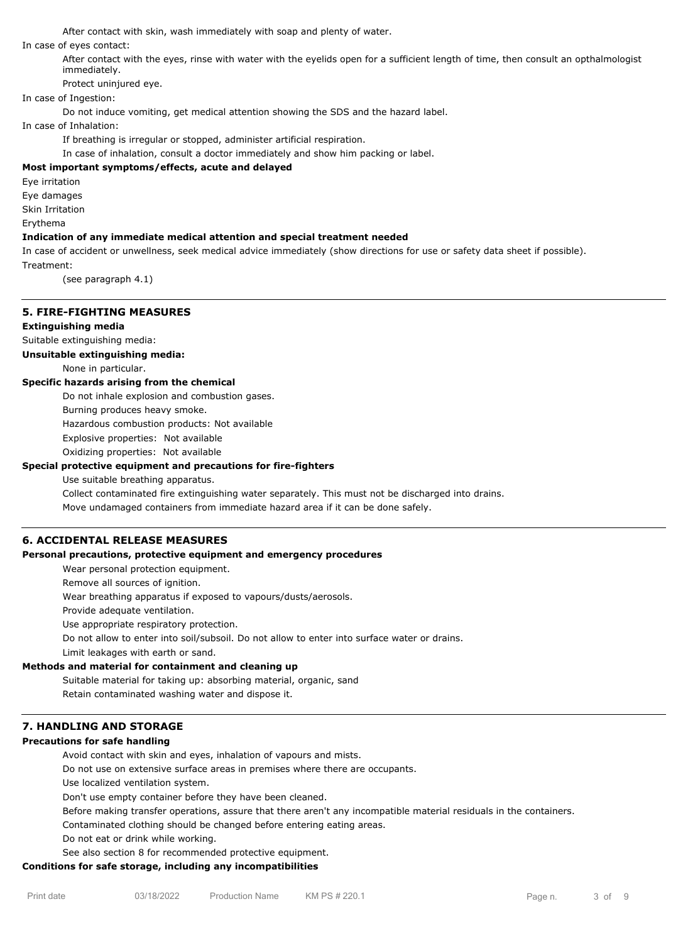After contact with skin, wash immediately with soap and plenty of water.

In case of eyes contact:

After contact with the eyes, rinse with water with the eyelids open for a sufficient length of time, then consult an opthalmologist immediately.

Protect uninjured eye.

## In case of Ingestion:

Do not induce vomiting, get medical attention showing the SDS and the hazard label.

In case of Inhalation:

If breathing is irregular or stopped, administer artificial respiration.

In case of inhalation, consult a doctor immediately and show him packing or label.

### **Most important symptoms/effects, acute and delayed**

Eye irritation

Eye damages

Skin Irritation

Erythema

#### **Indication of any immediate medical attention and special treatment needed**

In case of accident or unwellness, seek medical advice immediately (show directions for use or safety data sheet if possible). Treatment:

(see paragraph 4.1)

# **5. FIRE-FIGHTING MEASURES**

### **Extinguishing media**

Suitable extinguishing media:

**Unsuitable extinguishing media:**

None in particular.

#### **Specific hazards arising from the chemical**

Do not inhale explosion and combustion gases.

Burning produces heavy smoke.

Hazardous combustion products: Not available

Explosive properties: Not available

Oxidizing properties: Not available

### **Special protective equipment and precautions for fire-fighters**

Use suitable breathing apparatus.

Collect contaminated fire extinguishing water separately. This must not be discharged into drains.

Move undamaged containers from immediate hazard area if it can be done safely.

### **6. ACCIDENTAL RELEASE MEASURES**

#### **Personal precautions, protective equipment and emergency procedures**

Wear personal protection equipment.

Remove all sources of ignition.

Wear breathing apparatus if exposed to vapours/dusts/aerosols.

Provide adequate ventilation.

Use appropriate respiratory protection.

Do not allow to enter into soil/subsoil. Do not allow to enter into surface water or drains.

Limit leakages with earth or sand.

#### **Methods and material for containment and cleaning up**

Suitable material for taking up: absorbing material, organic, sand

Retain contaminated washing water and dispose it.

### **7. HANDLING AND STORAGE**

#### **Precautions for safe handling**

Avoid contact with skin and eyes, inhalation of vapours and mists.

Do not use on extensive surface areas in premises where there are occupants.

Use localized ventilation system.

Don't use empty container before they have been cleaned.

Before making transfer operations, assure that there aren't any incompatible material residuals in the containers.

Contaminated clothing should be changed before entering eating areas.

Do not eat or drink while working.

See also section 8 for recommended protective equipment.

#### **Conditions for safe storage, including any incompatibilities**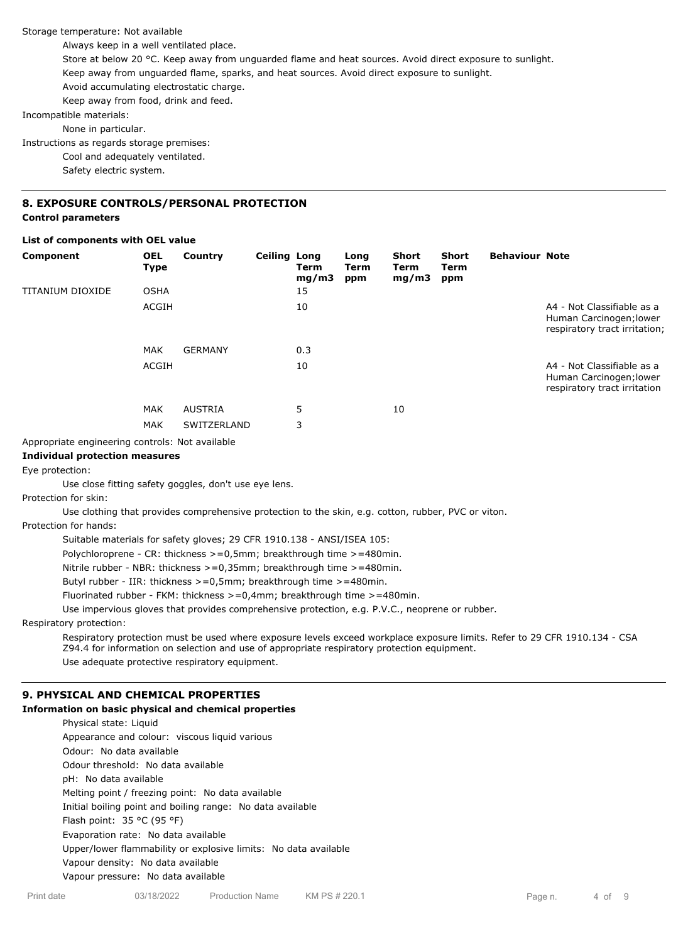Storage temperature: Not available

Always keep in a well ventilated place.

Store at below 20 °C. Keep away from unguarded flame and heat sources. Avoid direct exposure to sunlight.

Keep away from unguarded flame, sparks, and heat sources. Avoid direct exposure to sunlight.

Avoid accumulating electrostatic charge.

Keep away from food, drink and feed.

Incompatible materials:

None in particular.

Instructions as regards storage premises:

Cool and adequately ventilated.

Safety electric system.

## **8. EXPOSURE CONTROLS/PERSONAL PROTECTION**

### **Control parameters**

### **List of components with OEL value**

| Component                                       | <b>OEL</b><br>Type | Country        | <b>Ceiling Long</b> | Term<br>mg/m3 | Long<br>Term<br>ppm | Short<br>Term<br>mg/m3 | <b>Short</b><br><b>Term</b><br>ppm | <b>Behaviour Note</b> |                                                                                        |
|-------------------------------------------------|--------------------|----------------|---------------------|---------------|---------------------|------------------------|------------------------------------|-----------------------|----------------------------------------------------------------------------------------|
| TITANIUM DIOXIDE                                | <b>OSHA</b>        |                |                     | 15            |                     |                        |                                    |                       |                                                                                        |
|                                                 | ACGIH              |                |                     | 10            |                     |                        |                                    |                       | A4 - Not Classifiable as a<br>Human Carcinogen; lower<br>respiratory tract irritation; |
|                                                 | <b>MAK</b>         | <b>GERMANY</b> |                     | 0.3           |                     |                        |                                    |                       |                                                                                        |
|                                                 | ACGIH              |                |                     | 10            |                     |                        |                                    |                       | A4 - Not Classifiable as a<br>Human Carcinogen; lower<br>respiratory tract irritation  |
|                                                 | <b>MAK</b>         | <b>AUSTRIA</b> |                     | 5             |                     | 10                     |                                    |                       |                                                                                        |
|                                                 | <b>MAK</b>         | SWITZERLAND    |                     | 3             |                     |                        |                                    |                       |                                                                                        |
| Appropriate engineering controls: Not available |                    |                |                     |               |                     |                        |                                    |                       |                                                                                        |

Appropriate engineering controls: Not available

### **Individual protection measures**

Eye protection:

Use close fitting safety goggles, don't use eye lens.

Protection for skin:

Use clothing that provides comprehensive protection to the skin, e.g. cotton, rubber, PVC or viton.

Protection for hands:

Suitable materials for safety gloves; 29 CFR 1910.138 - ANSI/ISEA 105:

Polychloroprene - CR: thickness >=0,5mm; breakthrough time >=480min.

Nitrile rubber - NBR: thickness >=0,35mm; breakthrough time >=480min.

Butyl rubber - IIR: thickness >=0,5mm; breakthrough time >=480min.

Fluorinated rubber - FKM: thickness >=0,4mm; breakthrough time >=480min.

Use impervious gloves that provides comprehensive protection, e.g. P.V.C., neoprene or rubber.

Respiratory protection:

Respiratory protection must be used where exposure levels exceed workplace exposure limits. Refer to 29 CFR 1910.134 - CSA Z94.4 for information on selection and use of appropriate respiratory protection equipment. Use adequate protective respiratory equipment.

### **9. PHYSICAL AND CHEMICAL PROPERTIES**

#### **Information on basic physical and chemical properties**

Physical state: Liquid Appearance and colour: viscous liquid various Odour: No data available Odour threshold: No data available pH: No data available Melting point / freezing point: No data available Initial boiling point and boiling range: No data available Flash point: 35 °C (95 °F) Evaporation rate: No data available Upper/lower flammability or explosive limits: No data available Vapour density: No data available Vapour pressure: No data available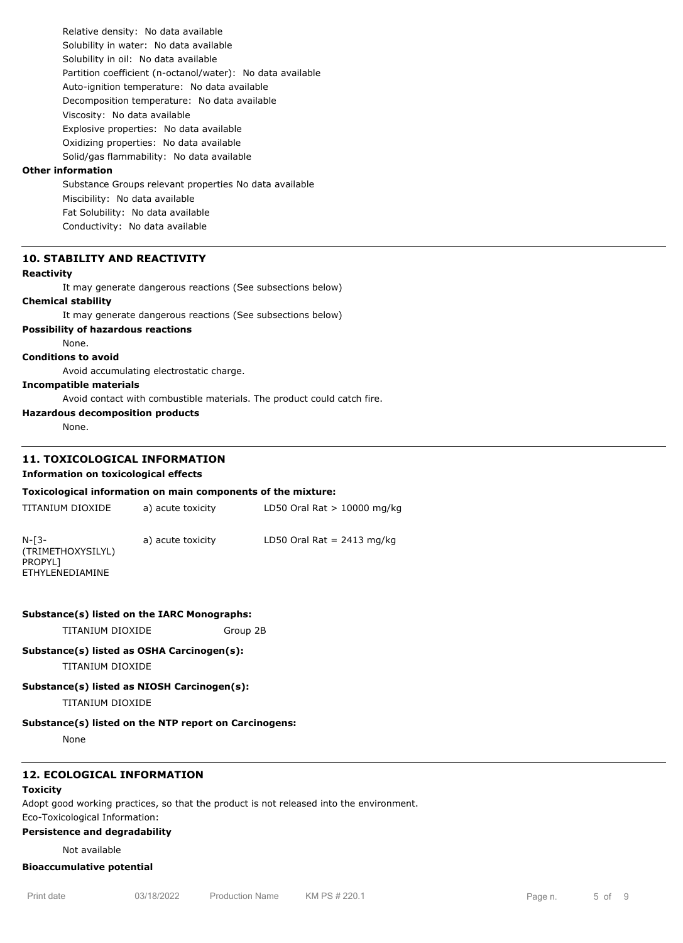Relative density: No data available Solubility in water: No data available Solubility in oil: No data available Partition coefficient (n-octanol/water): No data available Auto-ignition temperature: No data available Decomposition temperature: No data available Viscosity: No data available Explosive properties: No data available Oxidizing properties: No data available Solid/gas flammability: No data available

#### **Other information**

Substance Groups relevant properties No data available Miscibility: No data available Fat Solubility: No data available Conductivity: No data available

### **10. STABILITY AND REACTIVITY**

#### **Reactivity**

It may generate dangerous reactions (See subsections below)

#### **Chemical stability**

It may generate dangerous reactions (See subsections below)

#### **Possibility of hazardous reactions**

None.

#### **Conditions to avoid**

Avoid accumulating electrostatic charge.

### **Incompatible materials**

Avoid contact with combustible materials. The product could catch fire.

#### **Hazardous decomposition products**

None.

### **11. TOXICOLOGICAL INFORMATION**

#### **Information on toxicological effects**

#### **Toxicological information on main components of the mixture:**

| TITANIUM DIOXIDE                                           | a) acute toxicity | LD50 Oral Rat $> 10000$ mg/kg |  |
|------------------------------------------------------------|-------------------|-------------------------------|--|
| $N-T3-$<br>(TRIMETHOXYSILYL)<br>PROPYL]<br>ETHYLENEDIAMINE | a) acute toxicity | LD50 Oral Rat $= 2413$ mg/kg  |  |

#### **Substance(s) listed on the IARC Monographs:**

TITANIUM DIOXIDE Group 2B

#### **Substance(s) listed as OSHA Carcinogen(s):**

TITANIUM DIOXIDE

#### **Substance(s) listed as NIOSH Carcinogen(s):**

TITANIUM DIOXIDE

#### **Substance(s) listed on the NTP report on Carcinogens:**

None

## **12. ECOLOGICAL INFORMATION**

### **Toxicity**

Adopt good working practices, so that the product is not released into the environment. Eco-Toxicological Information:

#### **Persistence and degradability**

Not available

#### **Bioaccumulative potential**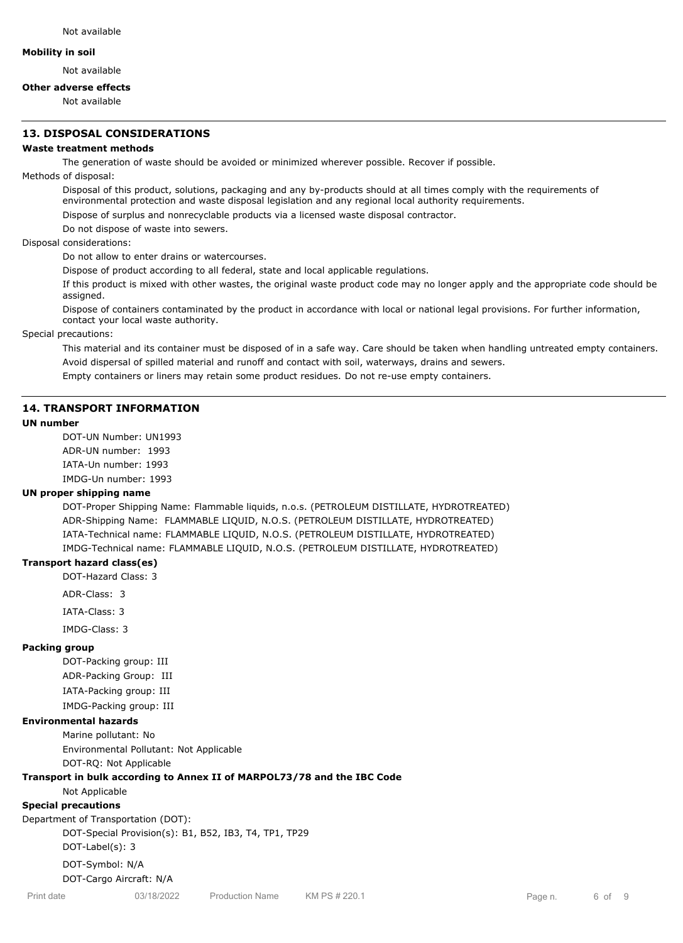#### **Mobility in soil**

Not available

### **Other adverse effects**

Not available

### **13. DISPOSAL CONSIDERATIONS**

### **Waste treatment methods**

The generation of waste should be avoided or minimized wherever possible. Recover if possible.

Methods of disposal:

Disposal of this product, solutions, packaging and any by-products should at all times comply with the requirements of environmental protection and waste disposal legislation and any regional local authority requirements.

Dispose of surplus and nonrecyclable products via a licensed waste disposal contractor.

Do not dispose of waste into sewers.

Disposal considerations:

Do not allow to enter drains or watercourses.

Dispose of product according to all federal, state and local applicable regulations.

If this product is mixed with other wastes, the original waste product code may no longer apply and the appropriate code should be assigned.

Dispose of containers contaminated by the product in accordance with local or national legal provisions. For further information, contact your local waste authority.

Special precautions:

This material and its container must be disposed of in a safe way. Care should be taken when handling untreated empty containers. Avoid dispersal of spilled material and runoff and contact with soil, waterways, drains and sewers.

Empty containers or liners may retain some product residues. Do not re-use empty containers.

#### **14. TRANSPORT INFORMATION**

#### **UN number**

DOT-UN Number: UN1993 ADR-UN number: 1993 IATA-Un number: 1993 IMDG-Un number: 1993

#### **UN proper shipping name**

DOT-Proper Shipping Name: Flammable liquids, n.o.s. (PETROLEUM DISTILLATE, HYDROTREATED) ADR-Shipping Name: FLAMMABLE LIQUID, N.O.S. (PETROLEUM DISTILLATE, HYDROTREATED) IATA-Technical name: FLAMMABLE LIQUID, N.O.S. (PETROLEUM DISTILLATE, HYDROTREATED) IMDG-Technical name: FLAMMABLE LIQUID, N.O.S. (PETROLEUM DISTILLATE, HYDROTREATED)

#### **Transport hazard class(es)**

DOT-Hazard Class: 3

ADR-Class: 3

IATA-Class: 3

IMDG-Class: 3

#### **Packing group**

DOT-Packing group: III ADR-Packing Group: III IATA-Packing group: III IMDG-Packing group: III

#### **Environmental hazards**

Marine pollutant: No Environmental Pollutant: Not Applicable DOT-RQ: Not Applicable

# **Transport in bulk according to Annex II of MARPOL73/78 and the IBC Code**

Not Applicable

# **Special precautions**

Department of Transportation (DOT): DOT-Special Provision(s): B1, B52, IB3, T4, TP1, TP29 DOT-Label(s): 3 DOT-Symbol: N/A

DOT-Cargo Aircraft: N/A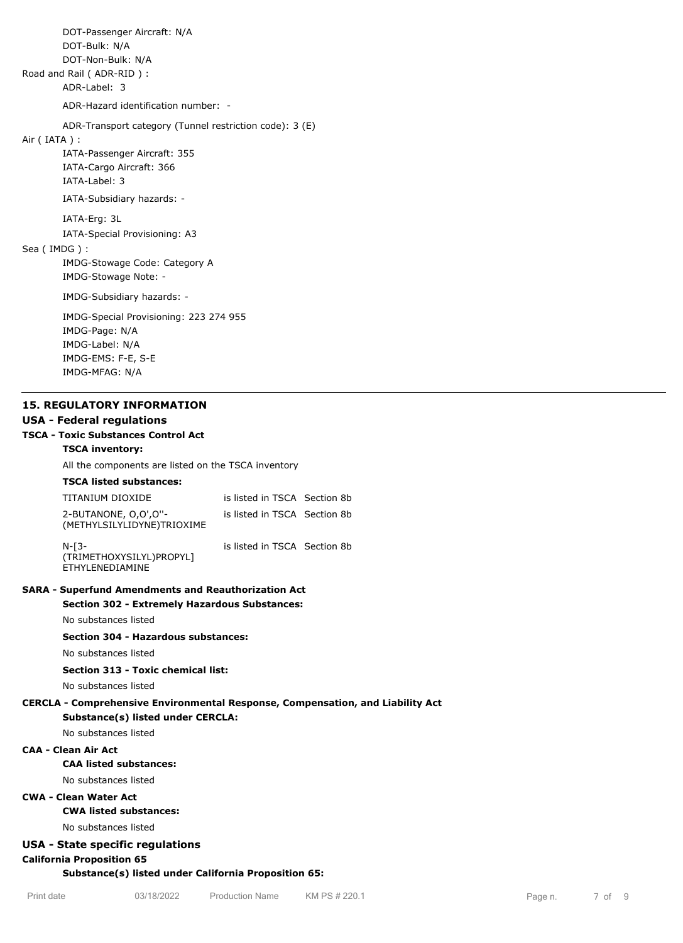DOT-Passenger Aircraft: N/A DOT-Bulk: N/A DOT-Non-Bulk: N/A Road and Rail ( ADR-RID ) : ADR-Label: 3 ADR-Hazard identification number: - ADR-Transport category (Tunnel restriction code): 3 (E) Air ( IATA ) : IATA-Passenger Aircraft: 355 IATA-Cargo Aircraft: 366 IATA-Label: 3 IATA-Subsidiary hazards: - IATA-Erg: 3L IATA-Special Provisioning: A3 Sea ( IMDG ) : IMDG-Stowage Code: Category A IMDG-Stowage Note: - IMDG-Subsidiary hazards: - IMDG-Special Provisioning: 223 274 955 IMDG-Page: N/A IMDG-Label: N/A IMDG-EMS: F-E, S-E IMDG-MFAG: N/A

#### **15. REGULATORY INFORMATION**

#### **USA - Federal regulations**

### **TSCA - Toxic Substances Control Act**

### **TSCA inventory:**

All the components are listed on the TSCA inventory

#### **TSCA listed substances:**

| TITANIUM DIOXIDE                                   | is listed in TSCA Section 8b |  |
|----------------------------------------------------|------------------------------|--|
| 2-BUTANONE, 0,0',0"-<br>(METHYLSILYLIDYNE)TRIOXIME | is listed in TSCA Section 8b |  |

N-[3- (TRIMETHOXYSILYL)PROPYL] ETHYLENEDIAMINE

# **SARA - Superfund Amendments and Reauthorization Act**

# **Section 302 - Extremely Hazardous Substances:**

No substances listed

### **Section 304 - Hazardous substances:**

No substances listed

### **Section 313 - Toxic chemical list:**

No substances listed

#### **CERCLA - Comprehensive Environmental Response, Compensation, and Liability Act**

is listed in TSCA Section 8b

**Substance(s) listed under CERCLA:**

No substances listed

#### **CAA - Clean Air Act**

#### **CAA listed substances:**

No substances listed

**CWA - Clean Water Act**

**California Proposition 65**

#### **CWA listed substances:**

No substances listed

### **USA - State specific regulations**

#### **Substance(s) listed under California Proposition 65:**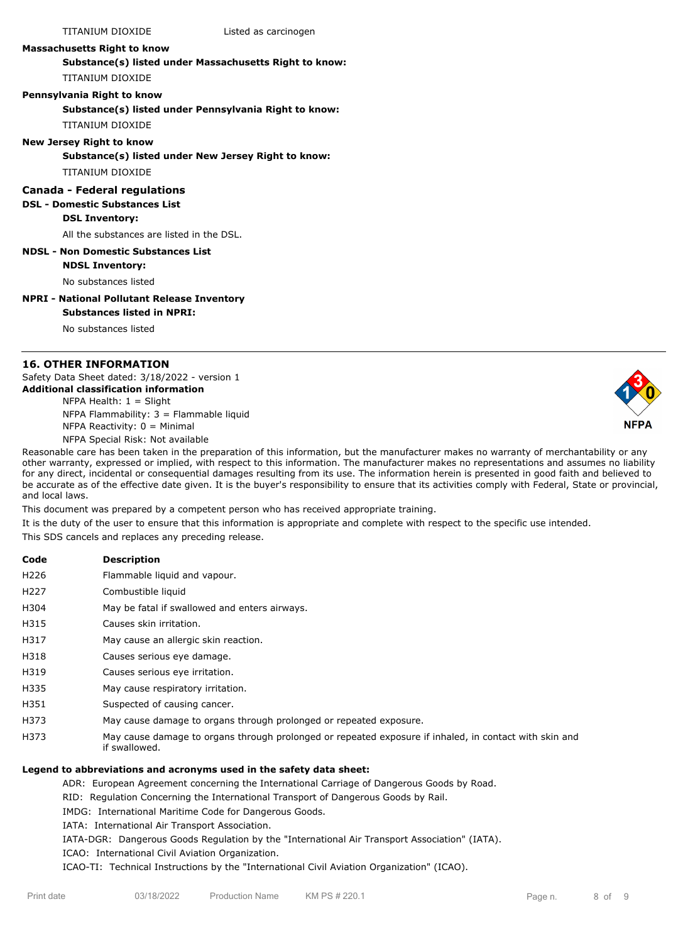TITANIUM DIOXIDE Listed as carcinogen

#### **Massachusetts Right to know**

**Substance(s) listed under Massachusetts Right to know:** TITANIUM DIOXIDE

#### **Pennsylvania Right to know**

**Substance(s) listed under Pennsylvania Right to know:**

TITANIUM DIOXIDE

### **New Jersey Right to know**

**Substance(s) listed under New Jersey Right to know:**

TITANIUM DIOXIDE

### **Canada - Federal regulations**

#### **DSL - Domestic Substances List**

**DSL Inventory:**

All the substances are listed in the DSL.

#### **NDSL - Non Domestic Substances List NDSL Inventory:**

No substances listed

#### **NPRI - National Pollutant Release Inventory**

**Substances listed in NPRI:**

No substances listed

### **16. OTHER INFORMATION**

Safety Data Sheet dated: 3/18/2022 - version 1 **Additional classification information**

NFPA Health:  $1 =$  Slight NFPA Flammability: 3 = Flammable liquid NFPA Reactivity:  $0 =$  Minimal NFPA Special Risk: Not available



Reasonable care has been taken in the preparation of this information, but the manufacturer makes no warranty of merchantability or any other warranty, expressed or implied, with respect to this information. The manufacturer makes no representations and assumes no liability for any direct, incidental or consequential damages resulting from its use. The information herein is presented in good faith and believed to be accurate as of the effective date given. It is the buyer's responsibility to ensure that its activities comply with Federal, State or provincial, and local laws.

This document was prepared by a competent person who has received appropriate training.

It is the duty of the user to ensure that this information is appropriate and complete with respect to the specific use intended.

This SDS cancels and replaces any preceding release.

**Code Description**

- H226 Flammable liquid and vapour.
- H227 Combustible liquid
- H304 May be fatal if swallowed and enters airways.
- H315 Causes skin irritation.
- H317 May cause an allergic skin reaction.
- H318 Causes serious eye damage.
- H319 Causes serious eye irritation.
- H335 May cause respiratory irritation.
- H351 Suspected of causing cancer.
- H373 May cause damage to organs through prolonged or repeated exposure.
- H373 May cause damage to organs through prolonged or repeated exposure if inhaled, in contact with skin and if swallowed.

### **Legend to abbreviations and acronyms used in the safety data sheet:**

ADR: European Agreement concerning the International Carriage of Dangerous Goods by Road.

RID: Regulation Concerning the International Transport of Dangerous Goods by Rail.

IMDG: International Maritime Code for Dangerous Goods.

IATA: International Air Transport Association.

IATA-DGR: Dangerous Goods Regulation by the "International Air Transport Association" (IATA).

ICAO: International Civil Aviation Organization.

ICAO-TI: Technical Instructions by the "International Civil Aviation Organization" (ICAO).